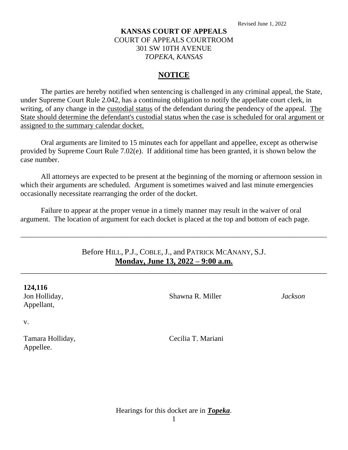## **KANSAS COURT OF APPEALS** COURT OF APPEALS COURTROOM 301 SW 10TH AVENUE *TOPEKA, KANSAS*

#### **NOTICE**

The parties are hereby notified when sentencing is challenged in any criminal appeal, the State, under Supreme Court Rule 2.042, has a continuing obligation to notify the appellate court clerk, in writing, of any change in the custodial status of the defendant during the pendency of the appeal. The State should determine the defendant's custodial status when the case is scheduled for oral argument or assigned to the summary calendar docket.

Oral arguments are limited to 15 minutes each for appellant and appellee, except as otherwise provided by Supreme Court Rule 7.02(e). If additional time has been granted, it is shown below the case number.

All attorneys are expected to be present at the beginning of the morning or afternoon session in which their arguments are scheduled. Argument is sometimes waived and last minute emergencies occasionally necessitate rearranging the order of the docket.

Failure to appear at the proper venue in a timely manner may result in the waiver of oral argument. The location of argument for each docket is placed at the top and bottom of each page.

# Before HILL, P.J., COBLE, J., and PATRICK MCANANY, S.J. **Monday, June 13, 2022 – 9:00 a.m.**

\_\_\_\_\_\_\_\_\_\_\_\_\_\_\_\_\_\_\_\_\_\_\_\_\_\_\_\_\_\_\_\_\_\_\_\_\_\_\_\_\_\_\_\_\_\_\_\_\_\_\_\_\_\_\_\_\_\_\_\_\_\_\_\_\_\_\_\_\_\_\_\_\_\_\_\_\_

\_\_\_\_\_\_\_\_\_\_\_\_\_\_\_\_\_\_\_\_\_\_\_\_\_\_\_\_\_\_\_\_\_\_\_\_\_\_\_\_\_\_\_\_\_\_\_\_\_\_\_\_\_\_\_\_\_\_\_\_\_\_\_\_\_\_\_\_\_\_\_\_\_\_\_\_\_\_\_\_\_\_\_

Shawna R. Miller

*Jackson*

v.

Tamara Holliday, Appellee.

Cecilia T. Mariani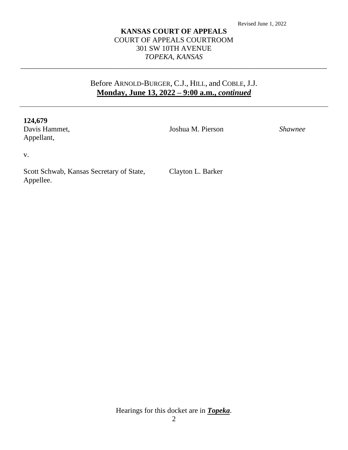### **KANSAS COURT OF APPEALS** COURT OF APPEALS COURTROOM 301 SW 10TH AVENUE *TOPEKA, KANSAS*

\_\_\_\_\_\_\_\_\_\_\_\_\_\_\_\_\_\_\_\_\_\_\_\_\_\_\_\_\_\_\_\_\_\_\_\_\_\_\_\_\_\_\_\_\_\_\_\_\_\_\_\_\_\_\_\_\_\_\_\_\_\_\_\_\_\_\_\_\_\_\_\_\_\_\_\_\_\_\_\_\_\_\_

# Before ARNOLD-BURGER, C.J., HILL, and COBLE, J.J. **Monday, June 13, 2022 – 9:00 a.m.,** *continued*

#### **124,679**

Davis Hammet, Appellant,

Joshua M. Pierson

*Shawnee*

v.

Scott Schwab, Kansas Secretary of State, Appellee.

Clayton L. Barker

Hearings for this docket are in *Topeka*.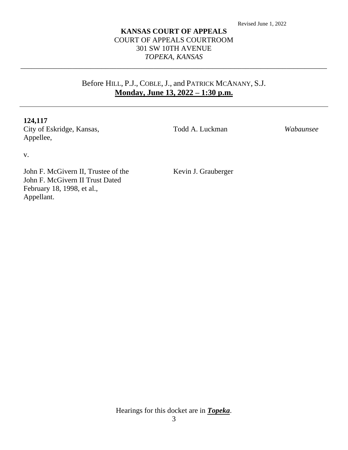### **KANSAS COURT OF APPEALS** COURT OF APPEALS COURTROOM 301 SW 10TH AVENUE *TOPEKA, KANSAS*

\_\_\_\_\_\_\_\_\_\_\_\_\_\_\_\_\_\_\_\_\_\_\_\_\_\_\_\_\_\_\_\_\_\_\_\_\_\_\_\_\_\_\_\_\_\_\_\_\_\_\_\_\_\_\_\_\_\_\_\_\_\_\_\_\_\_\_\_\_\_\_\_\_\_\_\_\_\_\_\_\_\_\_

# Before HILL, P.J., COBLE, J., and PATRICK MCANANY, S.J. **Monday, June 13, 2022 – 1:30 p.m.**

#### **124,117**

City of Eskridge, Kansas, Appellee,

Todd A. Luckman

*Wabaunsee*

v.

John F. McGivern II, Trustee of the John F. McGivern II Trust Dated February 18, 1998, et al., Appellant.

Kevin J. Grauberger

Hearings for this docket are in *Topeka*.